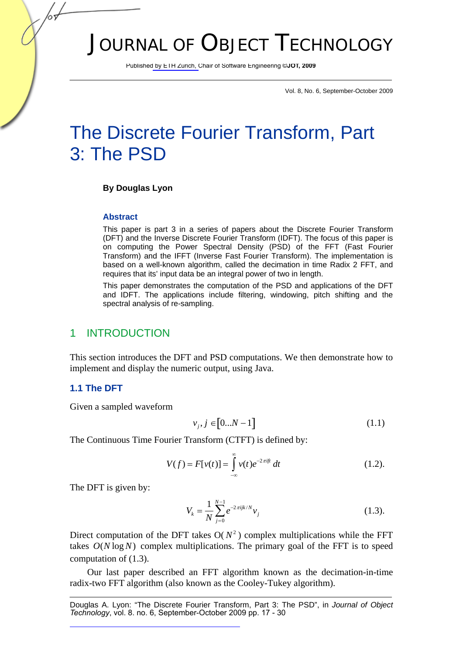# JOURNAL OF OBJECT TECHNOLOGY

Published by ETH Zurich, Chair of Software Engineering ©**JOT, 2009**

Vol. 8, No. 6, September-October 2009

# The Discrete Fourier Transform, Part 3: The PSD

#### **By Douglas Lyon**

#### **Abstract**

This paper is part 3 in a series of papers about the Discrete Fourier Transform (DFT) and the Inverse Discrete Fourier Transform (IDFT). The focus of this paper is on computing the Power Spectral Density (PSD) of the FFT (Fast Fourier Transform) and the IFFT (Inverse Fast Fourier Transform). The implementation is based on a well-known algorithm, called the decimation in time Radix 2 FFT, and requires that its' input data be an integral power of two in length.

This paper demonstrates the computation of the PSD and applications of the DFT and IDFT. The applications include filtering, windowing, pitch shifting and the spectral analysis of re-sampling.

#### 1 INTRODUCTION

This section introduces the DFT and PSD computations. We then demonstrate how to implement and display the numeric output, using Java.

#### **1.1 The DFT**

Given a sampled waveform

$$
v_j, j \in [0...N-1]
$$
\n
$$
(1.1)
$$

The Continuous Time Fourier Transform (CTFT) is defined by:

$$
V(f) = F[v(t)] = \int_{-\infty}^{\infty} v(t)e^{-2\pi ift} dt
$$
 (1.2).

The DFT is given by:

$$
V_k = \frac{1}{N} \sum_{j=0}^{N-1} e^{-2\pi i j k/N} v_j
$$
 (1.3).

Direct computation of the DFT takes  $O(N^2)$  complex multiplications while the FFT takes  $O(N \log N)$  complex multiplications. The primary goal of the FFT is to speed computation of (1.3).

Our last paper described an FFT algorithm known as the decimation-in-time radix-two FFT algorithm (also known as the Cooley-Tukey algorithm).

Douglas A. Lyon: "The Discrete Fourier Transform, Part 3: The PSD", in *Journal of Object Technology*, vol. 8. no. 6, September-October 2009 pp. 17 - 30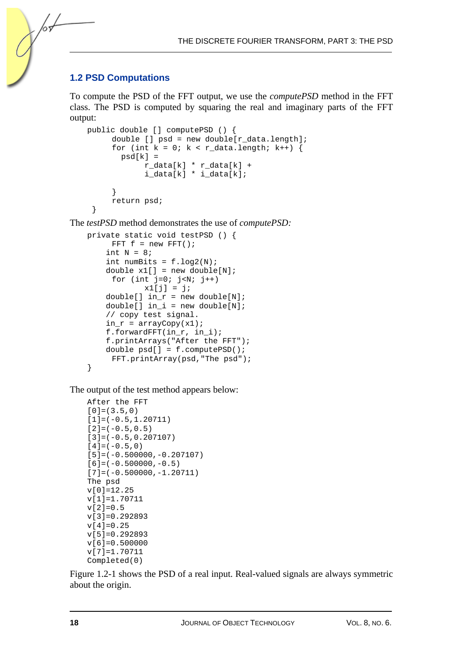### **1.2 PSD Computations**

/05

To compute the PSD of the FFT output, we use the *computePSD* method in the FFT class. The PSD is computed by squaring the real and imaginary parts of the FFT output:

```
public double [] computePSD () { 
      double [] psd = new double[r_data.length]; 
     for (int k = 0; k < r data.length; k++) {
       psd[k] = r_data[k] * r_data[k] + 
              i_data[k] * i_data[k]; 
 } 
      return psd; 
  }
```
The *testPSD* method demonstrates the use of *computePSD:* 

```
private static void testPSD () { 
     FFT f = new FFT();
    int N = 8;
    int numBits = f.log2(N);double x1[] = new double[N];
     for (int j=0; j<N; j++)x1[j] = j;double[] in_r = new double[N];double[] in_i = new double[N]; // copy test signal. 
    in_r = arrayCopy(x1); f.forwardFFT(in_r, in_i); 
     f.printArrays("After the FFT"); 
     double psd[] = f.computePSD(); 
      FFT.printArray(psd,"The psd"); 
}
```
The output of the test method appears below:

```
After the FFT 
[0] = (3.5,0)[1] = (-0.5, 1.20711)[2]=(-0.5, 0.5)[3] = (-0.5, 0.207107)[4] = (-0.5, 0)[5] = (-0.500000, -0.207107)[6] = (-0.500000, -0.5)[7] = (-0.500000, -1.20711)The psd 
v[0]=12.25 
v[1]=1.70711 
v[2]=0.5v[3]=0.292893 
v[4]=0.25v[5]=0.292893 
v[6]=0.500000 
v[7]=1.70711 
Completed(0)
```
Figure 1.2-1 shows the PSD of a real input. Real-valued signals are always symmetric about the origin.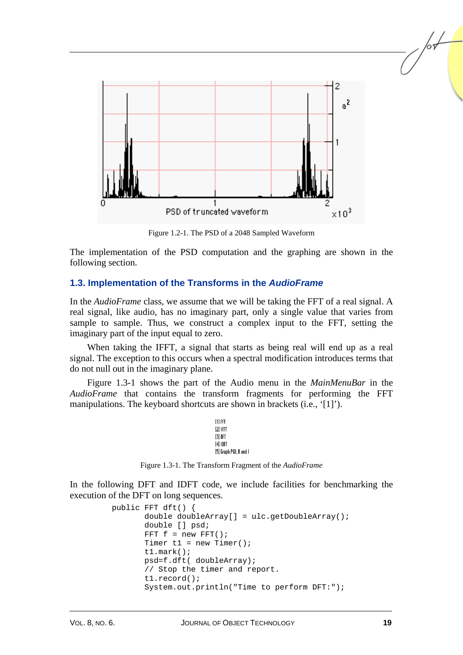

Figure 1.2-1. The PSD of a 2048 Sampled Waveform

The implementation of the PSD computation and the graphing are shown in the following section.

### **1.3. Implementation of the Transforms in the** *AudioFrame*

In the *AudioFrame* class, we assume that we will be taking the FFT of a real signal. A real signal, like audio, has no imaginary part, only a single value that varies from sample to sample. Thus, we construct a complex input to the FFT, setting the imaginary part of the input equal to zero.

When taking the IFFT, a signal that starts as being real will end up as a real signal. The exception to this occurs when a spectral modification introduces terms that do not null out in the imaginary plane.

Figure 1.3-1 shows the part of the Audio menu in the *MainMenuBar* in the *AudioFrame* that contains the transform fragments for performing the FFT manipulations. The keyboard shortcuts are shown in brackets (i.e., '[1]').

```
[1] FFT
[2] IFFT
[3] DFT
[4] IDFT
[5] Graph PSD, R and I
```
Figure 1.3-1. The Transform Fragment of the *AudioFrame*

In the following DFT and IDFT code, we include facilities for benchmarking the execution of the DFT on long sequences.

```
 public FFT dft() { 
        double doubleArray[] = ulc.getDoubleArray(); 
        double [] psd; 
       FFT f = new FFT();
       Timer t1 = new Timer();
        t1.mark(); 
        psd=f.dft( doubleArray); 
        // Stop the timer and report. 
        t1.record(); 
        System.out.println("Time to perform DFT:");
```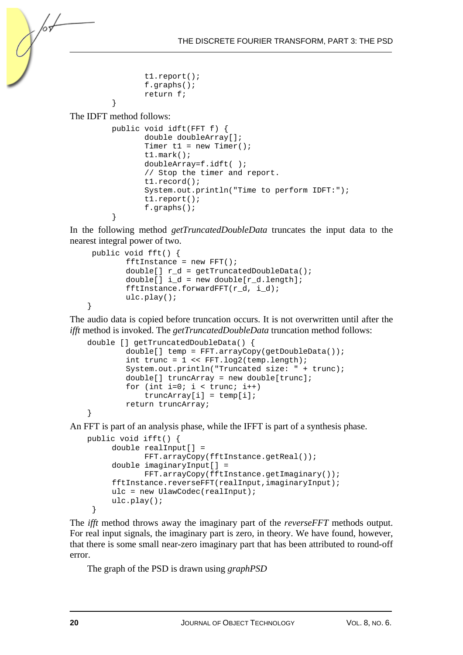```
 t1.report(); 
f.\alpharaphs();
 return f;
```
The IDFT method follows:

}

/०४

```
 public void idft(FFT f) { 
        double doubleArray[]; 
       Timer t1 = new Timer();
        t1.mark(); 
        doubleArray=f.idft( ); 
         // Stop the timer and report. 
        t1.record(); 
        System.out.println("Time to perform IDFT:"); 
         t1.report(); 
        f.graphs(); 
 }
```
In the following method *getTruncatedDoubleData* truncates the input data to the nearest integral power of two.

```
 public void fft() { 
        fftInstance = new FFT();
         double[] r_d = getTruncatedDoubleData(); 
        double[] i_d = new double[r_d.length];fftInstance.forwardFFT(r_d, i_d);
         ulc.play(); 
}
```
The audio data is copied before truncation occurs. It is not overwritten until after the *ifft* method is invoked. The *getTruncatedDoubleData* truncation method follows:

```
double [] getTruncatedDoubleData() { 
         double[] temp = FFT.arrayCopy(getDoubleData()); 
        int trunc = 1 \leq FFT. log2 (temp. length);
         System.out.println("Truncated size: " + trunc); 
        double[] truncArray = new double[trunc];
        for (int i=0; i < true; i++)
             truncArray[i] = temp[i]; 
         return truncArray; 
}
```
An FFT is part of an analysis phase, while the IFFT is part of a synthesis phase.

```
public void ifft() { 
      double realInput[] = 
              FFT.arrayCopy(fftInstance.getReal()); 
      double imaginaryInput[] = 
              FFT.arrayCopy(fftInstance.getImaginary()); 
      fftInstance.reverseFFT(realInput,imaginaryInput); 
      ulc = new UlawCodec(realInput); 
      ulc.play(); 
  }
```
The *ifft* method throws away the imaginary part of the *reverseFFT* methods output. For real input signals, the imaginary part is zero, in theory. We have found, however, that there is some small near-zero imaginary part that has been attributed to round-off error.

The graph of the PSD is drawn using *graphPSD*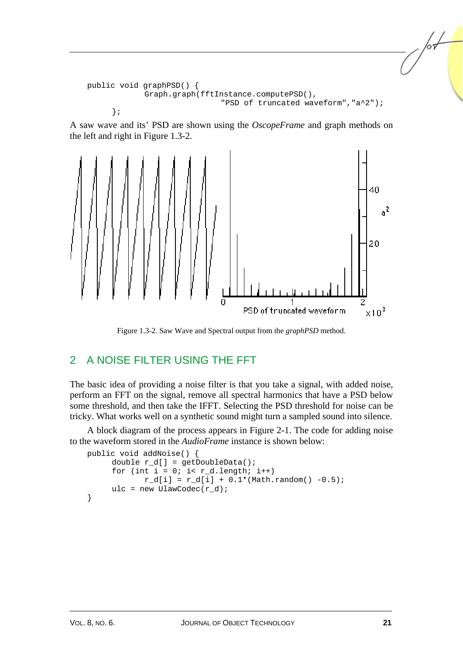```
public void graphPSD() { 
              Graph.graph(fftInstance.computePSD(), 
                                "PSD of truncated waveform","a^2"); 
      };
```
A saw wave and its' PSD are shown using the *OscopeFrame* and graph methods on the left and right in Figure 1.3-2.



Figure 1.3-2. Saw Wave and Spectral output from the *graphPSD* method.

# 2 A NOISE FILTER USING THE FFT

The basic idea of providing a noise filter is that you take a signal, with added noise, perform an FFT on the signal, remove all spectral harmonics that have a PSD below some threshold, and then take the IFFT. Selecting the PSD threshold for noise can be tricky. What works well on a synthetic sound might turn a sampled sound into silence.

A block diagram of the process appears in Figure 2-1. The code for adding noise to the waveform stored in the *AudioFrame* instance is shown below:

```
public void addNoise() { 
      double r_d[] = getDoubleData(); 
     for (int i = 0; i< r_d.length; i++)r_d[i] = r_d[i] + 0.1*(Math.random() -0.5);ulc = new UlawCodec(r d);
}
```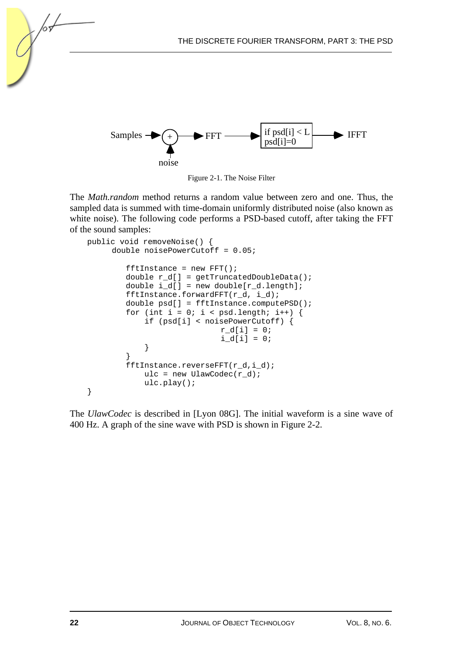



The *Math.random* method returns a random value between zero and one. Thus, the sampled data is summed with time-domain uniformly distributed noise (also known as white noise). The following code performs a PSD-based cutoff, after taking the FFT of the sound samples:

```
public void removeNoise() { 
      double noisePowerCutoff = 0.05; 
        fftInstance = new FFT();
        double r d[] = qetTruncatedDoubleData();
        double i d[] = new double[r d.length];
         fftInstance.forwardFFT(r_d, i_d); 
         double psd[] = fftInstance.computePSD(); 
        for (int i = 0; i < psd.length; i++) {
             if (psd[i] < noisePowerCutoff) { 
                           r d[i] = 0;i_d[i] = 0; } 
 } 
         fftInstance.reverseFFT(r_d,i_d); 
           ulc = new UlawCodec(r_d);
            ulc.play(); 
}
```
The *UlawCodec* is described in [Lyon 08G]. The initial waveform is a sine wave of 400 Hz. A graph of the sine wave with PSD is shown in Figure 2-2.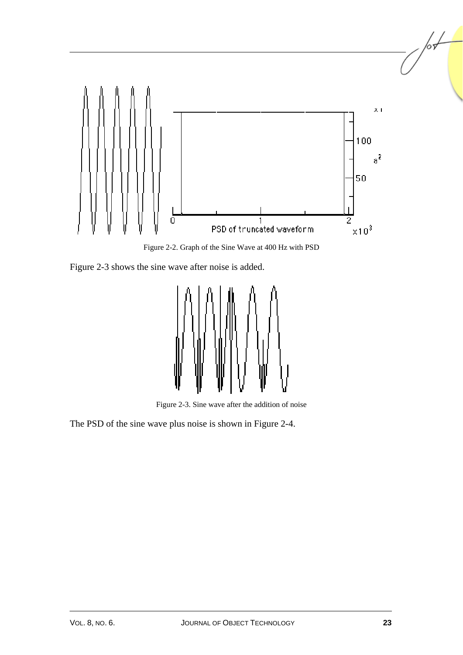

Figure 2-2. Graph of the Sine Wave at 400 Hz with PSD

Figure 2-3 shows the sine wave after noise is added.



Figure 2-3. Sine wave after the addition of noise

The PSD of the sine wave plus noise is shown in Figure 2-4.

 $\sqrt{\frac{1}{2}}$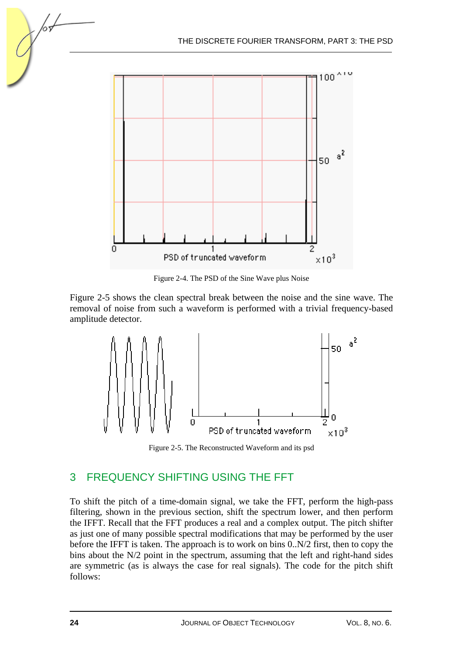

Figure 2-4. The PSD of the Sine Wave plus Noise

Figure 2-5 shows the clean spectral break between the noise and the sine wave. The removal of noise from such a waveform is performed with a trivial frequency-based amplitude detector.



Figure 2-5. The Reconstructed Waveform and its psd

# 3 FREQUENCY SHIFTING USING THE FFT

To shift the pitch of a time-domain signal, we take the FFT, perform the high-pass filtering, shown in the previous section, shift the spectrum lower, and then perform the IFFT. Recall that the FFT produces a real and a complex output. The pitch shifter as just one of many possible spectral modifications that may be performed by the user before the IFFT is taken. The approach is to work on bins 0..N/2 first, then to copy the bins about the N/2 point in the spectrum, assuming that the left and right-hand sides are symmetric (as is always the case for real signals). The code for the pitch shift follows: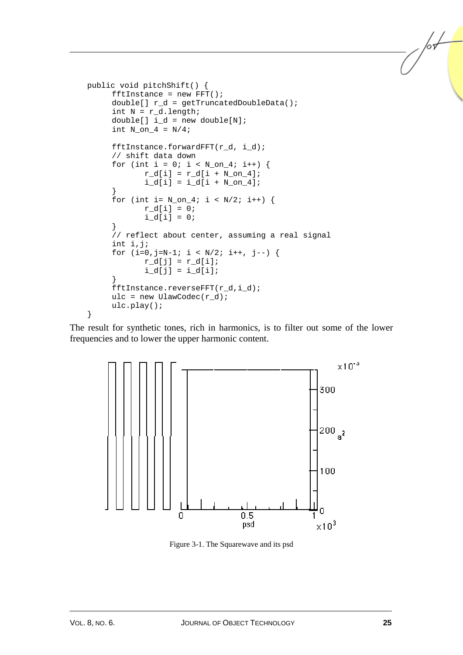```
public void pitchShift() { 
     fftInstance = new FFT();
     double[] r_d = getTruncatedDoubleData();
     int N = r_d. length;
     double[] i_d = new double[N];int N_{on_4} = N/4;
      fftInstance.forwardFFT(r_d, i_d); 
      // shift data down 
     for (int i = 0; i < N_{on4}; i++) {
            r_d[i] = r_d[i + N_0n_4];i_d[i] = i_d[i + N_0n_4]; } 
     for (int i= N_{on4}; i < N/2; i++) {
            r_d[i] = 0;i d[i] = 0;
      } 
      // reflect about center, assuming a real signal 
      int i,j; 
     for (i=0,j=N-1; i < N/2; i++), j--) {
            r_d[j] = r_d[i];i_d[j] = i_d[i]; } 
      fftInstance.reverseFFT(r_d,i_d); 
     ulc = new UlawCodec(r d);
      ulc.play(); 
}
```
The result for synthetic tones, rich in harmonics, is to filter out some of the lower frequencies and to lower the upper harmonic content.



Figure 3-1. The Squarewave and its psd

l L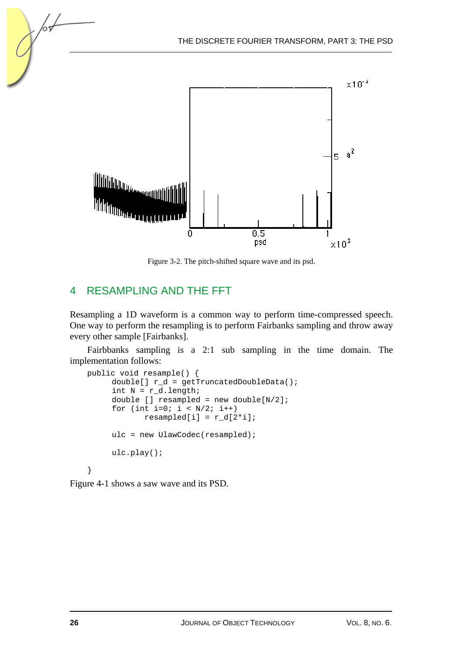

Figure 3-2. The pitch-shifted square wave and its psd.

# 4 RESAMPLING AND THE FFT

Resampling a 1D waveform is a common way to perform time-compressed speech. One way to perform the resampling is to perform Fairbanks sampling and throw away every other sample [Fairbanks].

Fairbbanks sampling is a 2:1 sub sampling in the time domain. The implementation follows:

```
public void resample() { 
     double[] r d = qetTruncatedDoubleData();
     int N = r_d.length;
      double [] resampled = new double[N/2]; 
     for (int i=0; i < N/2; i++)resampled[i] = r_d[2'i]; ulc = new UlawCodec(resampled); 
      ulc.play(); 
}
```
Figure 4-1 shows a saw wave and its PSD.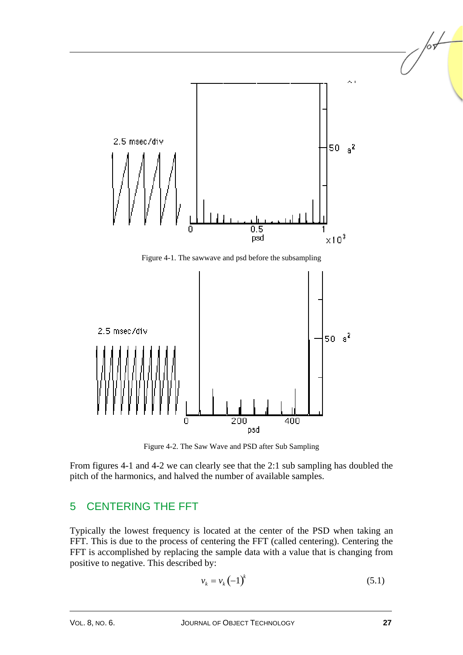

Figure 4-1. The sawwave and psd before the subsampling



Figure 4-2. The Saw Wave and PSD after Sub Sampling

From figures 4-1 and 4-2 we can clearly see that the 2:1 sub sampling has doubled the pitch of the harmonics, and halved the number of available samples.

# 5 CENTERING THE FFT

Typically the lowest frequency is located at the center of the PSD when taking an FFT. This is due to the process of centering the FFT (called centering). Centering the FFT is accomplished by replacing the sample data with a value that is changing from positive to negative. This described by:

$$
v_k = v_k \left(-1\right)^k \tag{5.1}
$$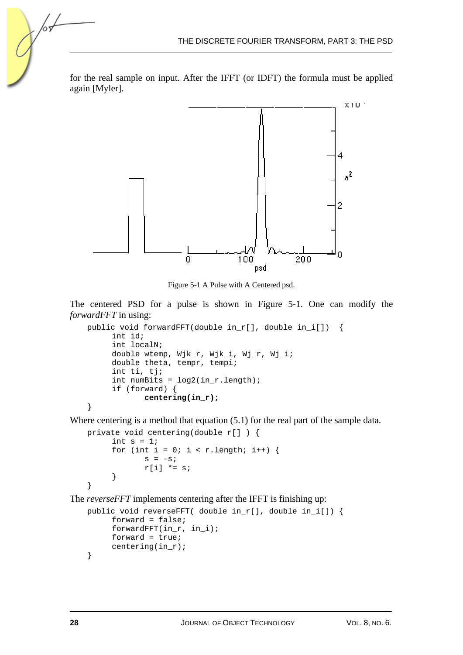for the real sample on input. After the IFFT (or IDFT) the formula must be applied again [Myler].



Figure 5-1 A Pulse with A Centered psd.

The centered PSD for a pulse is shown in Figure 5-1. One can modify the *forwardFFT* in using:

```
public void forwardFFT(double in_r[], double in_i[]) { 
      int id; 
      int localN; 
      double wtemp, Wjk_r, Wjk_i, Wj_r, Wj_i; 
      double theta, tempr, tempi; 
      int ti, tj; 
     int numBits = log2(inr.length); if (forward) { 
              centering(in_r); 
}
```
Where centering is a method that equation (5.1) for the real part of the sample data.

```
private void centering(double r[] ) { 
     int s = 1;
     for (int i = 0; i < r.length; i++) {
             s = -s;
             r[i] *= s;
      } 
}
```
The *reverseFFT* implements centering after the IFFT is finishing up:

```
public void reverseFFT( double in_r[], double in_i[]) { 
      forward = false; 
      forwardFFT(in_r, in_i); 
      forward = true; 
      centering(in_r); 
}
```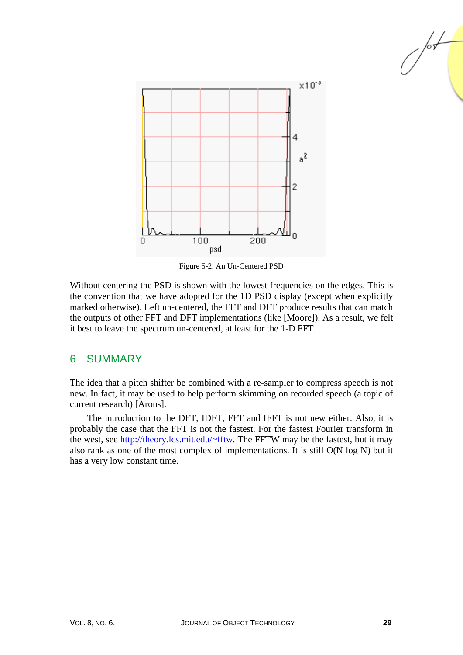

Figure 5-2. An Un-Centered PSD

Without centering the PSD is shown with the lowest frequencies on the edges. This is the convention that we have adopted for the 1D PSD display (except when explicitly marked otherwise). Left un-centered, the FFT and DFT produce results that can match the outputs of other FFT and DFT implementations (like [Moore]). As a result, we felt it best to leave the spectrum un-centered, at least for the 1-D FFT.

## 6 SUMMARY

The idea that a pitch shifter be combined with a re-sampler to compress speech is not new. In fact, it may be used to help perform skimming on recorded speech (a topic of current research) [Arons].

The introduction to the DFT, IDFT, FFT and IFFT is not new either. Also, it is probably the case that the FFT is not the fastest. For the fastest Fourier transform in the west, see http://theory.lcs.mit.edu/~fftw. The FFTW may be the fastest, but it may also rank as one of the most complex of implementations. It is still O(N log N) but it has a very low constant time.